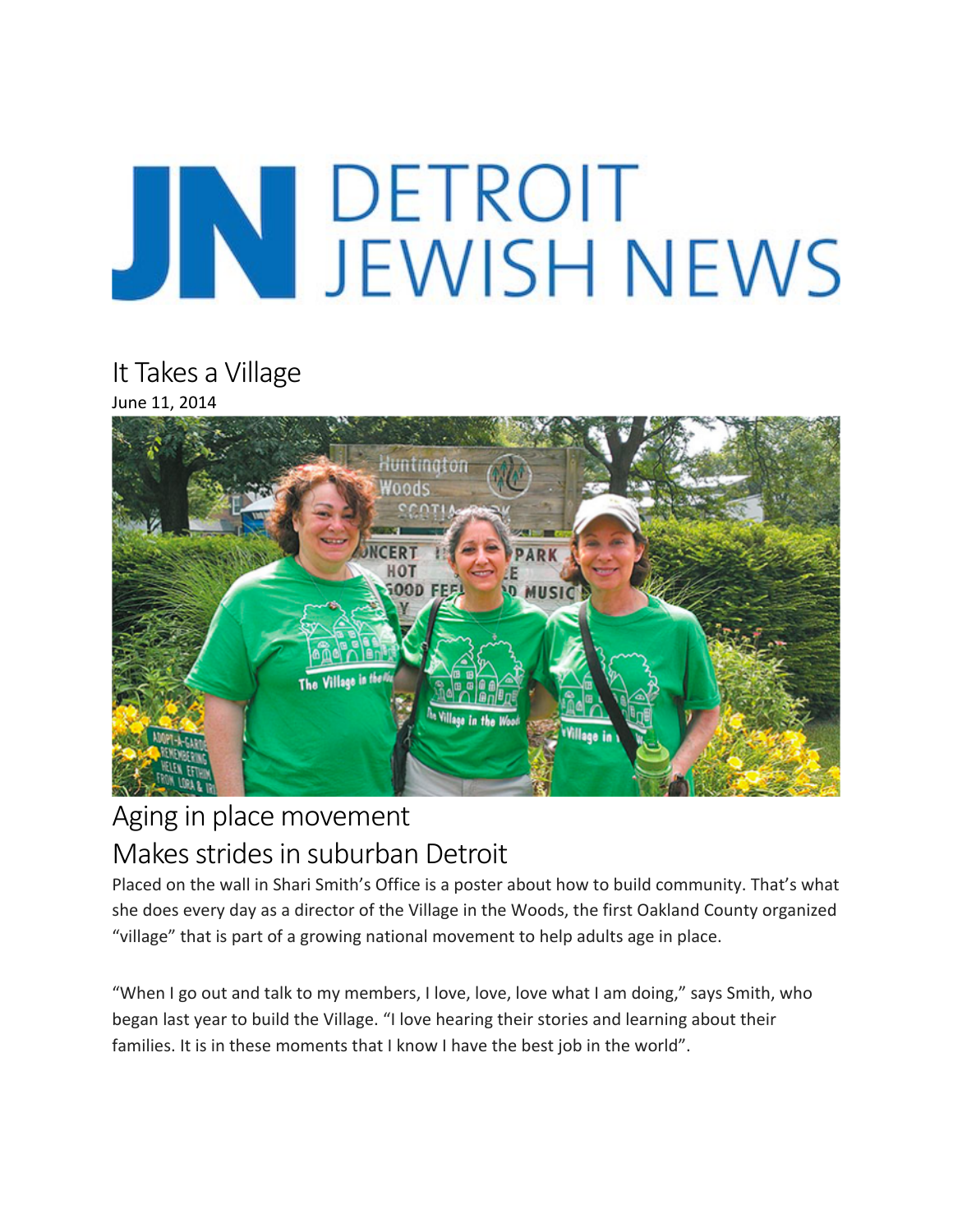# JN DETROIT<br>JEWISH NEWS

It Takes a Village June 11, 2014



### Aging in place movement Makes strides in suburban Detroit

Placed on the wall in Shari Smith's Office is a poster about how to build community. That's what she does every day as a director of the Village in the Woods, the first Oakland County organized "village" that is part of a growing national movement to help adults age in place.

"When I go out and talk to my members, I love, love, love what I am doing," says Smith, who began last year to build the Village. "I love hearing their stories and learning about their families. It is in these moments that I know I have the best job in the world".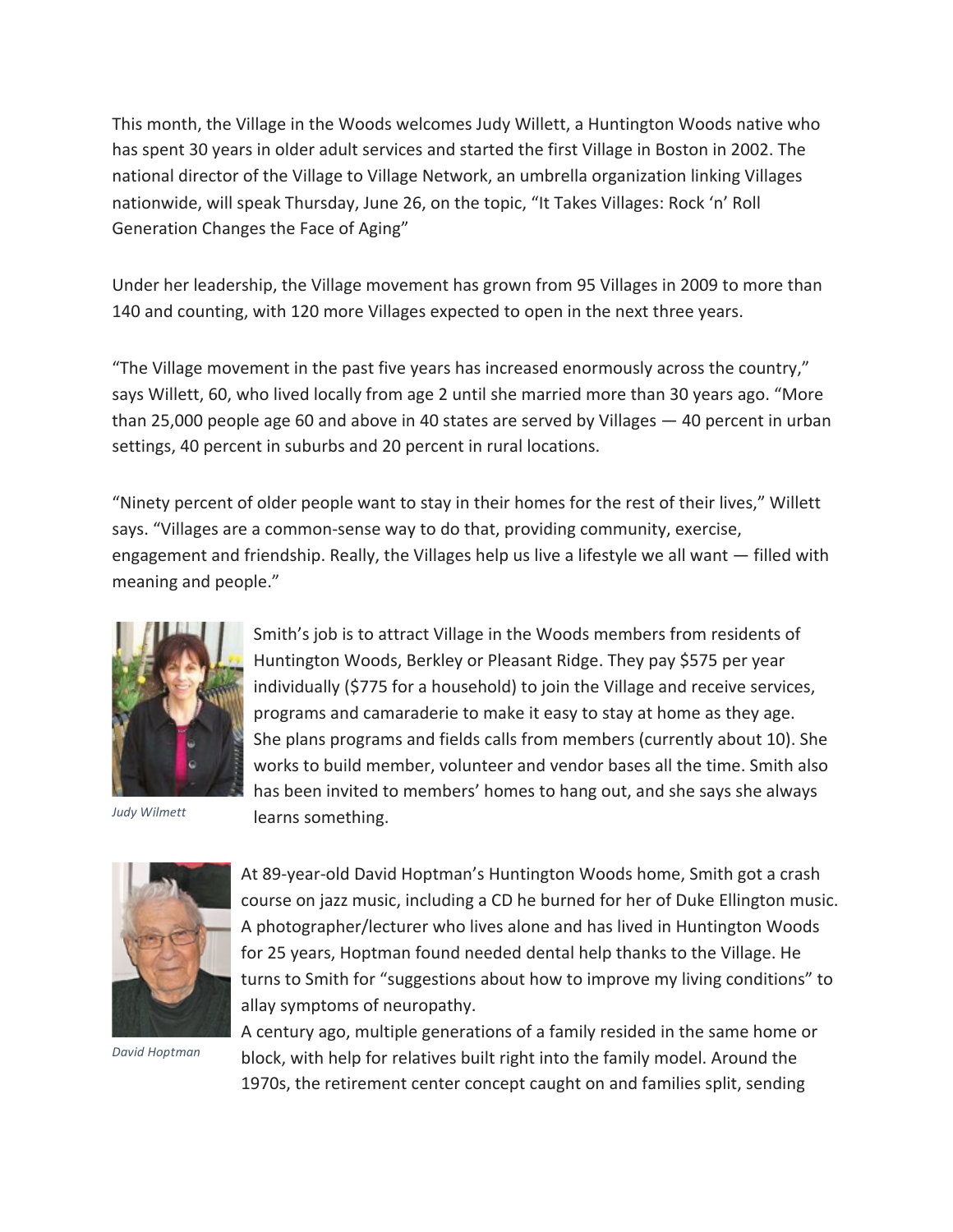This month, the Village in the Woods welcomes Judy Willett, a Huntington Woods native who has spent 30 years in older adult services and started the first Village in Boston in 2002. The national director of the Village to Village Network, an umbrella organization linking Villages nationwide, will speak Thursday, June 26, on the topic, "It Takes Villages: Rock 'n' Roll Generation Changes the Face of Aging"

Under her leadership, the Village movement has grown from 95 Villages in 2009 to more than 140 and counting, with 120 more Villages expected to open in the next three years.

"The Village movement in the past five years has increased enormously across the country," says Willett, 60, who lived locally from age 2 until she married more than 30 years ago. "More than 25,000 people age 60 and above in 40 states are served by Villages  $-$  40 percent in urban settings, 40 percent in suburbs and 20 percent in rural locations.

"Ninety percent of older people want to stay in their homes for the rest of their lives," Willett says. "Villages are a common-sense way to do that, providing community, exercise, engagement and friendship. Really, the Villages help us live a lifestyle we all want  $-$  filled with meaning and people."



*Judy Wilmett*

Smith's job is to attract Village in the Woods members from residents of Huntington Woods, Berkley or Pleasant Ridge. They pay \$575 per year individually (\$775 for a household) to join the Village and receive services, programs and camaraderie to make it easy to stay at home as they age. She plans programs and fields calls from members (currently about 10). She works to build member, volunteer and vendor bases all the time. Smith also has been invited to members' homes to hang out, and she says she always learns something.



*David Hoptman*

At 89-year-old David Hoptman's Huntington Woods home, Smith got a crash course on jazz music, including a CD he burned for her of Duke Ellington music. A photographer/lecturer who lives alone and has lived in Huntington Woods for 25 years, Hoptman found needed dental help thanks to the Village. He turns to Smith for "suggestions about how to improve my living conditions" to allay symptoms of neuropathy.

A century ago, multiple generations of a family resided in the same home or block, with help for relatives built right into the family model. Around the 1970s, the retirement center concept caught on and families split, sending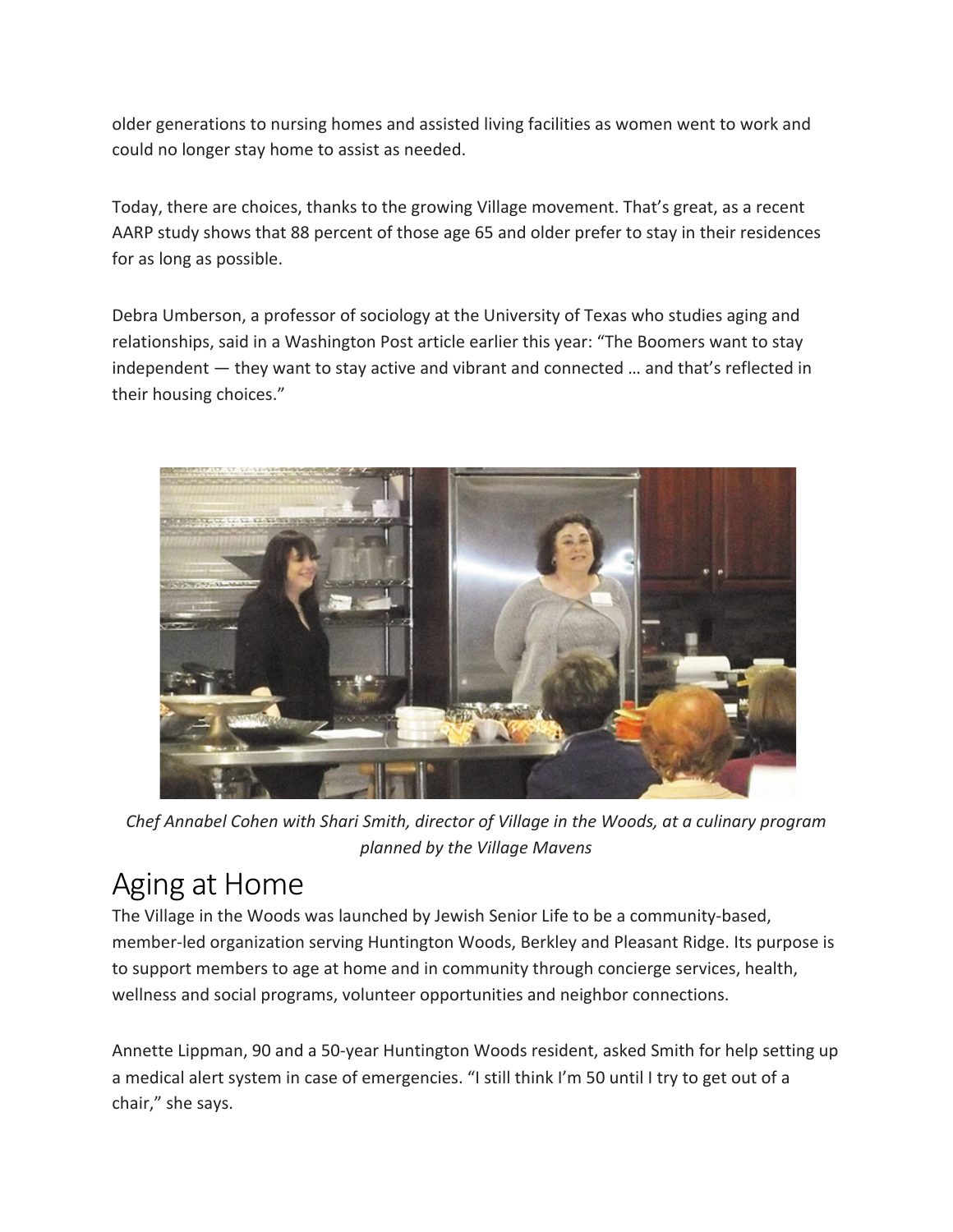older generations to nursing homes and assisted living facilities as women went to work and could no longer stay home to assist as needed.

Today, there are choices, thanks to the growing Village movement. That's great, as a recent AARP study shows that 88 percent of those age 65 and older prefer to stay in their residences for as long as possible.

Debra Umberson, a professor of sociology at the University of Texas who studies aging and relationships, said in a Washington Post article earlier this year: "The Boomers want to stay independent  $-$  they want to stay active and vibrant and connected  $\ldots$  and that's reflected in their housing choices."



Chef Annabel Cohen with Shari Smith, director of Village in the Woods, at a culinary program *planned by the Village Mavens*

## Aging at Home

The Village in the Woods was launched by Jewish Senior Life to be a community-based, member-led organization serving Huntington Woods, Berkley and Pleasant Ridge. Its purpose is to support members to age at home and in community through concierge services, health, wellness and social programs, volunteer opportunities and neighbor connections.

Annette Lippman, 90 and a 50-year Huntington Woods resident, asked Smith for help setting up a medical alert system in case of emergencies. "I still think I'm 50 until I try to get out of a chair," she says.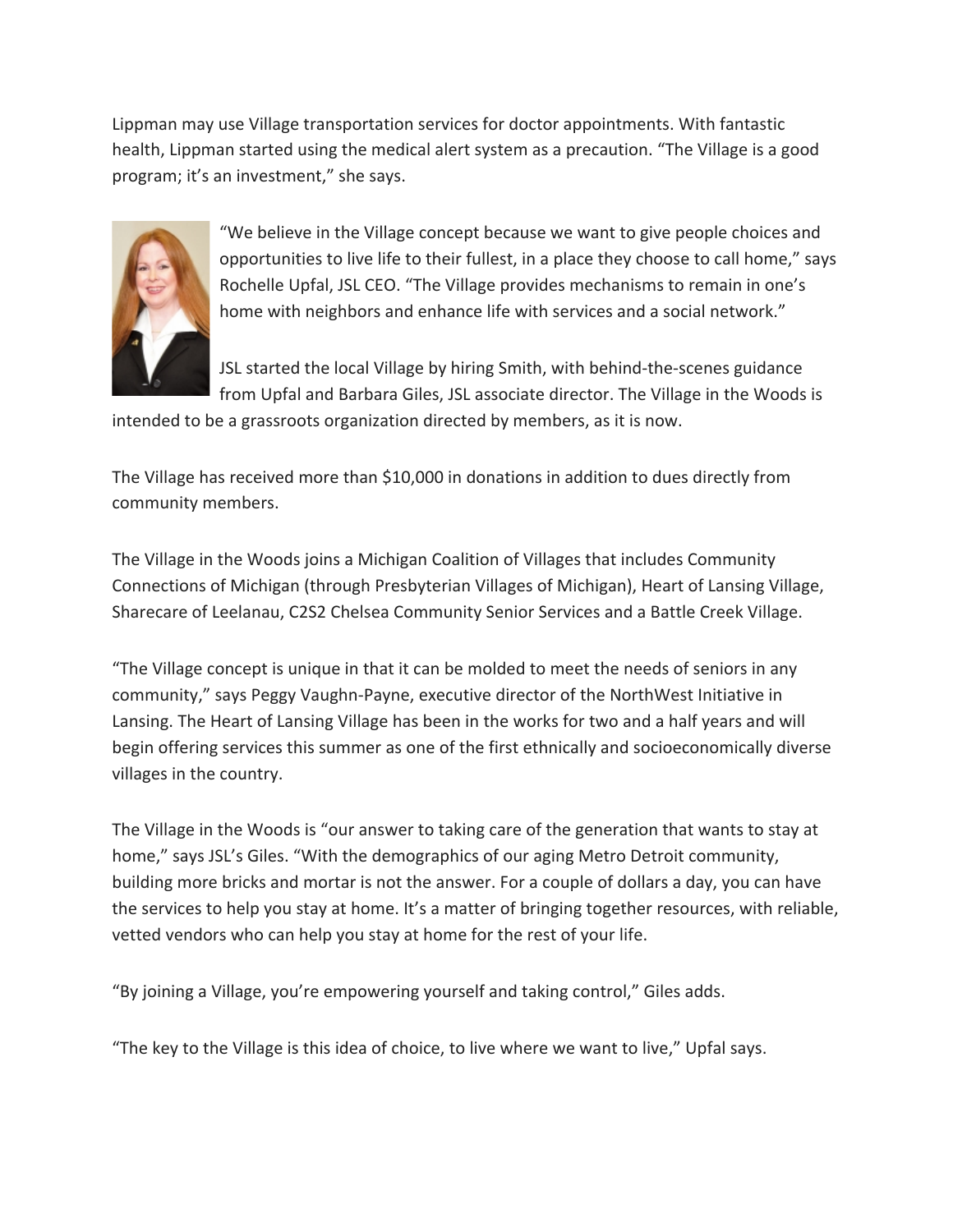Lippman may use Village transportation services for doctor appointments. With fantastic health, Lippman started using the medical alert system as a precaution. "The Village is a good program; it's an investment," she says.



"We believe in the Village concept because we want to give people choices and opportunities to live life to their fullest, in a place they choose to call home," says Rochelle Upfal, JSL CEO. "The Village provides mechanisms to remain in one's home with neighbors and enhance life with services and a social network."

JSL started the local Village by hiring Smith, with behind-the-scenes guidance from Upfal and Barbara Giles, JSL associate director. The Village in the Woods is

intended to be a grassroots organization directed by members, as it is now.

The Village has received more than \$10,000 in donations in addition to dues directly from community members.

The Village in the Woods joins a Michigan Coalition of Villages that includes Community Connections of Michigan (through Presbyterian Villages of Michigan), Heart of Lansing Village, Sharecare of Leelanau, C2S2 Chelsea Community Senior Services and a Battle Creek Village.

"The Village concept is unique in that it can be molded to meet the needs of seniors in any community," says Peggy Vaughn-Payne, executive director of the NorthWest Initiative in Lansing. The Heart of Lansing Village has been in the works for two and a half years and will begin offering services this summer as one of the first ethnically and socioeconomically diverse villages in the country.

The Village in the Woods is "our answer to taking care of the generation that wants to stay at home," says JSL's Giles. "With the demographics of our aging Metro Detroit community, building more bricks and mortar is not the answer. For a couple of dollars a day, you can have the services to help you stay at home. It's a matter of bringing together resources, with reliable, vetted vendors who can help you stay at home for the rest of your life.

"By joining a Village, you're empowering yourself and taking control," Giles adds.

"The key to the Village is this idea of choice, to live where we want to live," Upfal says.